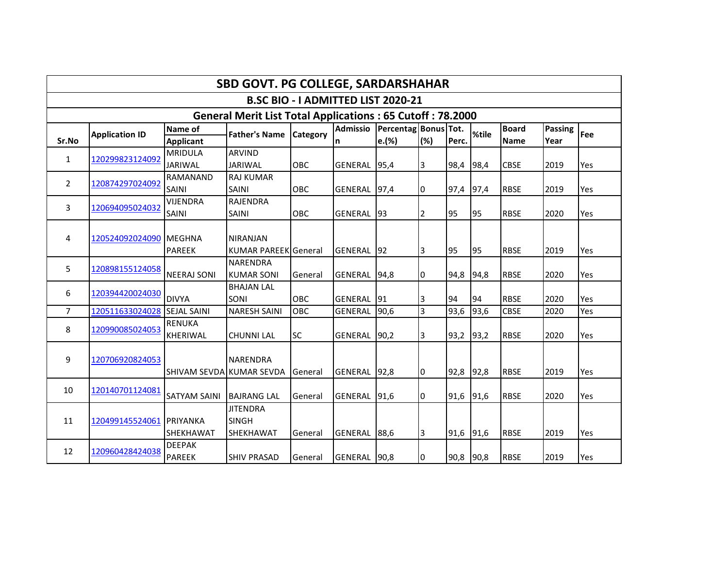| SBD GOVT. PG COLLEGE, SARDARSHAHAR                               |                             |                          |                             |            |                    |                      |                |           |       |              |         |     |  |  |
|------------------------------------------------------------------|-----------------------------|--------------------------|-----------------------------|------------|--------------------|----------------------|----------------|-----------|-------|--------------|---------|-----|--|--|
| B.SC BIO - I ADMITTED LIST 2020-21                               |                             |                          |                             |            |                    |                      |                |           |       |              |         |     |  |  |
| <b>General Merit List Total Applications: 65 Cutoff: 78.2000</b> |                             |                          |                             |            |                    |                      |                |           |       |              |         |     |  |  |
|                                                                  | <b>Application ID</b>       | <b>Name of</b>           | <b>Father's Name</b>        | Category   | <b>Admissio</b>    | Percentag Bonus Tot. |                |           | %tile | <b>Board</b> | Passing | Fee |  |  |
| Sr.No                                                            |                             | <b>Applicant</b>         |                             |            | n                  | e.(%)                | (%)            | Perc.     |       | <b>Name</b>  | Year    |     |  |  |
| $\mathbf{1}$                                                     | 120299823124092             | <b>MRIDULA</b>           | <b>ARVIND</b>               |            |                    |                      |                |           |       |              |         |     |  |  |
|                                                                  |                             | <b>JARIWAL</b>           | <b>JARIWAL</b>              | <b>OBC</b> | <b>GENERAL</b>     | 95,4                 | 3              | 98,4      | 98,4  | <b>CBSE</b>  | 2019    | Yes |  |  |
| $\overline{2}$                                                   | 120874297024092             | RAMANAND                 | <b>RAJ KUMAR</b>            |            |                    |                      |                |           |       |              |         |     |  |  |
|                                                                  |                             | SAINI                    | <b>SAINI</b>                | OBC        | GENERAL 97,4       |                      | 0              | 97,4      | 97,4  | <b>RBSE</b>  | 2019    | Yes |  |  |
| 3                                                                |                             | <b>VIJENDRA</b>          | <b>RAJENDRA</b>             |            |                    |                      |                |           |       |              |         |     |  |  |
|                                                                  | 120694095024032             | <b>SAINI</b>             | <b>SAINI</b>                | OBC        | <b>GENERAL</b>     | 93                   | $\overline{2}$ | 95        | 95    | <b>RBSE</b>  | 2020    | Yes |  |  |
|                                                                  |                             |                          |                             |            |                    |                      |                |           |       |              |         |     |  |  |
| 4                                                                | 120524092024090 MEGHNA      |                          | <b>NIRANJAN</b>             |            |                    |                      |                |           |       |              |         |     |  |  |
|                                                                  |                             | PAREEK                   | <b>KUMAR PAREEK General</b> |            | <b>GENERAL</b>     | 92                   | 3              | 95        | 95    | <b>RBSE</b>  | 2019    | Yes |  |  |
| 5                                                                |                             |                          | NARENDRA                    |            |                    |                      |                |           |       |              |         |     |  |  |
|                                                                  | 120898155124058             | <b>NEERAJ SONI</b>       | <b>KUMAR SONI</b>           | General    | <b>GENERAL</b>     | 94,8                 | 0              | 94,8      | 94,8  | <b>RBSE</b>  | 2020    | Yes |  |  |
|                                                                  |                             |                          | <b>BHAJAN LAL</b>           |            |                    |                      |                |           |       |              |         |     |  |  |
| 6                                                                | 120394420024030             | <b>DIVYA</b>             | SONI                        | <b>OBC</b> | <b>GENERAL 191</b> |                      | 3              | 94        | 94    | <b>RBSE</b>  | 2020    | Yes |  |  |
| $\overline{7}$                                                   | 120511633024028 SEJAL SAINI |                          | <b>NARESH SAINI</b>         | OBC        | <b>GENERAL</b>     | 90,6                 | $\overline{3}$ | 93,6      | 93,6  | <b>CBSE</b>  | 2020    | Yes |  |  |
|                                                                  |                             | <b>RENUKA</b>            |                             |            |                    |                      |                |           |       |              |         |     |  |  |
| 8                                                                | 120990085024053             | <b>KHERIWAL</b>          | <b>CHUNNI LAL</b>           | <b>SC</b>  | GENERAL 90,2       |                      | 3              | 93,2      | 93,2  | <b>RBSE</b>  | 2020    | Yes |  |  |
|                                                                  |                             |                          |                             |            |                    |                      |                |           |       |              |         |     |  |  |
| 9                                                                | 120706920824053             |                          | <b>NARENDRA</b>             |            |                    |                      |                |           |       |              |         |     |  |  |
|                                                                  |                             | SHIVAM SEVDA KUMAR SEVDA |                             | General    | GENERAL 92,8       |                      | 0              | 92,8      | 92,8  | <b>RBSE</b>  | 2019    | Yes |  |  |
|                                                                  |                             |                          |                             |            |                    |                      |                |           |       |              |         |     |  |  |
| 10                                                               | 120140701124081             | SATYAM SAINI             | <b>BAJRANG LAL</b>          | General    | GENERAL            | 91,6                 | 0              | 91,6      | 91,6  | <b>RBSE</b>  | 2020    | Yes |  |  |
|                                                                  |                             |                          | <b>JITENDRA</b>             |            |                    |                      |                |           |       |              |         |     |  |  |
| 11                                                               | 120499145524061             | PRIYANKA                 | <b>SINGH</b>                |            |                    |                      |                |           |       |              |         |     |  |  |
|                                                                  |                             | <b>SHEKHAWAT</b>         | <b>SHEKHAWAT</b>            | General    | GENERAL 88,6       |                      | 3              | 91,6      | 91,6  | <b>RBSE</b>  | 2019    | Yes |  |  |
|                                                                  |                             | <b>DEEPAK</b>            |                             |            |                    |                      |                |           |       |              |         |     |  |  |
| 12                                                               | 120960428424038             | <b>PAREEK</b>            | <b>SHIV PRASAD</b>          | General    | GENERAL 90,8       |                      | 0              | 90,8 90,8 |       | <b>RBSE</b>  | 2019    | Yes |  |  |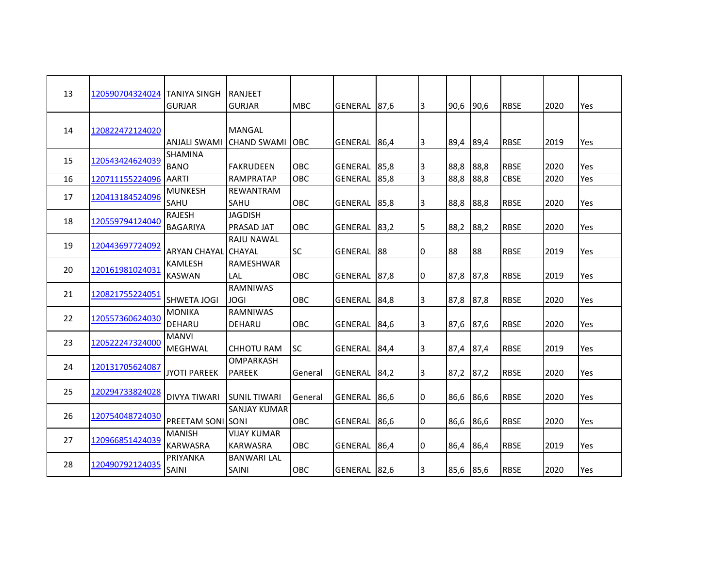| 13 | 120590704324024 | <b>TANIYA SINGH</b>              | IRANJEET                              |            |                |      |                |           |      |             |      |     |
|----|-----------------|----------------------------------|---------------------------------------|------------|----------------|------|----------------|-----------|------|-------------|------|-----|
|    |                 | <b>GURJAR</b>                    | <b>GURJAR</b>                         | <b>MBC</b> | GENERAL        | 87,6 | I3             | 90,6      | 90,6 | <b>RBSE</b> | 2020 | Yes |
| 14 | 120822472124020 | ANJALI SWAMI                     | <b>MANGAL</b><br><b>CHAND SWAMI</b>   | <b>OBC</b> | <b>GENERAL</b> | 86,4 | 3              | 89,4      | 89,4 | <b>RBSE</b> | 2019 | Yes |
| 15 | 120543424624039 | <b>SHAMINA</b><br><b>BANO</b>    | <b>FAKRUDEEN</b>                      | OBC        | GENERAL 85,8   |      | 3              | 88,8      | 88,8 | <b>RBSE</b> | 2020 | Yes |
| 16 | 120711155224096 | <b>AARTI</b>                     | <b>RAMPRATAP</b>                      | OBC        | <b>GENERAL</b> | 85,8 | $\overline{3}$ | 88,8      | 88,8 | <b>CBSE</b> | 2020 | Yes |
| 17 | 120413184524096 | <b>MUNKESH</b><br>SAHU           | REWANTRAM<br>SAHU                     | OBC        | <b>GENERAL</b> | 85,8 | 3              | 88,8      | 88,8 | <b>RBSE</b> | 2020 | Yes |
| 18 | 120559794124040 | <b>RAJESH</b><br><b>BAGARIYA</b> | <b>JAGDISH</b><br>PRASAD JAT          | OBC        | <b>GENERAL</b> | 83,2 | 5              | 88,2      | 88,2 | <b>RBSE</b> | 2020 | Yes |
| 19 | 120443697724092 | ARYAN CHAYAL CHAYAL              | <b>RAJU NAWAL</b>                     | <b>SC</b>  | <b>GENERAL</b> | 88   | 0              | 88        | 88   | <b>RBSE</b> | 2019 | Yes |
| 20 | 120161981024031 | <b>KAMLESH</b><br><b>KASWAN</b>  | <b>RAMESHWAR</b><br>LAL               | <b>OBC</b> | <b>GENERAL</b> | 87,8 | 0              | 87,8      | 87,8 | <b>RBSE</b> | 2019 | Yes |
| 21 | 120821755224051 | <b>SHWETA JOGI</b>               | <b>RAMNIWAS</b><br>JOGI               | OBC        | <b>GENERAL</b> | 84,8 | 13             | 87,8      | 87,8 | <b>RBSE</b> | 2020 | Yes |
| 22 | 120557360624030 | <b>MONIKA</b><br>DEHARU          | <b>RAMNIWAS</b><br>DEHARU             | OBC        | <b>GENERAL</b> | 84,6 | 3              | 87,6      | 87,6 | <b>RBSE</b> | 2020 | Yes |
| 23 | 120522247324000 | <b>MANVI</b><br>MEGHWAL          | <b>CHHOTU RAM</b>                     | <b>SC</b>  | GENERAL 84,4   |      | 13             | 87,4      | 87,4 | <b>RBSE</b> | 2019 | Yes |
| 24 | 120131705624087 | <b>JYOTI PAREEK</b>              | OMPARKASH<br><b>PAREEK</b>            | General    | <b>GENERAL</b> | 84,2 | 3              | 87,2      | 87,2 | <b>RBSE</b> | 2020 | Yes |
| 25 | 120294733824028 | <b>DIVYA TIWARI</b>              | <b>SUNIL TIWARI</b>                   | General    | GENERAL        | 86,6 | 10             | 86,6      | 86,6 | <b>RBSE</b> | 2020 | Yes |
| 26 | 120754048724030 | <b>PREETAM SONI SONI</b>         | <b>SANJAY KUMAR</b>                   | OBC        | <b>GENERAL</b> | 86,6 | 0              | 86,6      | 86,6 | <b>RBSE</b> | 2020 | Yes |
| 27 | 120966851424039 | <b>MANISH</b><br><b>KARWASRA</b> | <b>VIJAY KUMAR</b><br><b>KARWASRA</b> | OBC        | GENERAL 86,4   |      | 10             | 86,4      | 86,4 | <b>RBSE</b> | 2019 | Yes |
| 28 | 120490792124035 | PRIYANKA<br>SAINI                | <b>BANWARI LAL</b><br><b>SAINI</b>    | OBC        | GENERAL 82,6   |      | 3              | 85,6 85,6 |      | <b>RBSE</b> | 2020 | Yes |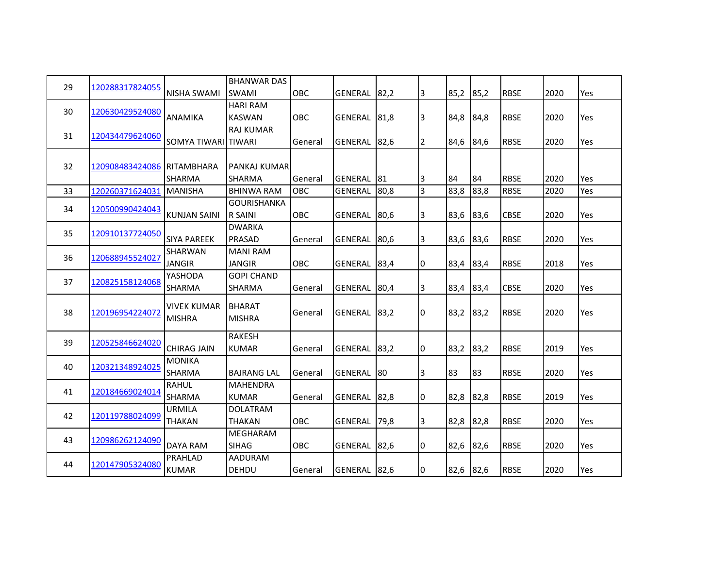|    |                            |                     | <b>BHANWAR DAS</b> |            |                |      |                |           |      |             |      |     |
|----|----------------------------|---------------------|--------------------|------------|----------------|------|----------------|-----------|------|-------------|------|-----|
| 29 | 120288317824055            | <b>NISHA SWAMI</b>  | <b>SWAMI</b>       | OBC        | <b>GENERAL</b> | 82,2 | 3              | 85,2      | 85,2 | <b>RBSE</b> | 2020 | Yes |
|    |                            |                     | <b>HARI RAM</b>    |            |                |      |                |           |      |             |      |     |
| 30 | 120630429524080            | ANAMIKA             | <b>KASWAN</b>      | OBC        | GENERAL 81,8   |      | 3              | 84,8      | 84,8 | <b>RBSE</b> | 2020 | Yes |
| 31 |                            |                     | <b>RAJ KUMAR</b>   |            |                |      |                |           |      |             |      |     |
|    | 120434479624060            | SOMYA TIWARI TIWARI |                    | General    | GENERAL        | 82,6 | 2              | 84,6      | 84,6 | <b>RBSE</b> | 2020 | Yes |
|    |                            |                     |                    |            |                |      |                |           |      |             |      |     |
| 32 | 120908483424086 RITAMBHARA |                     | PANKAJ KUMAR       |            |                |      |                |           |      |             |      |     |
|    |                            | <b>SHARMA</b>       | <b>SHARMA</b>      | General    | GENERAL 81     |      | 13             | 84        | 84   | <b>RBSE</b> | 2020 | Yes |
| 33 | 120260371624031 MANISHA    |                     | <b>BHINWA RAM</b>  | OBC        | <b>GENERAL</b> | 80,8 | $\overline{3}$ | 83,8      | 83,8 | <b>RBSE</b> | 2020 | Yes |
| 34 | 120500990424043            |                     | <b>GOURISHANKA</b> |            |                |      |                |           |      |             |      |     |
|    |                            | <b>KUNJAN SAINI</b> | R SAINI            | OBC        | GENERAL 80,6   |      | 3              | 83,6      | 83,6 | <b>CBSE</b> | 2020 | Yes |
| 35 | 120910137724050            |                     | <b>DWARKA</b>      |            |                |      |                |           |      |             |      |     |
|    |                            | <b>SIYA PAREEK</b>  | PRASAD             | General    | <b>GENERAL</b> | 80,6 | 3              | 83,6      | 83,6 | <b>RBSE</b> | 2020 | Yes |
| 36 | 120688945524027            | SHARWAN             | <b>MANI RAM</b>    |            |                |      |                |           |      |             |      |     |
|    |                            | <b>JANGIR</b>       | <b>JANGIR</b>      | <b>OBC</b> | GENERAL 83,4   |      | 0              | 83,4      | 83,4 | <b>RBSE</b> | 2018 | Yes |
| 37 | 120825158124068            | YASHODA             | <b>GOPI CHAND</b>  |            |                |      |                |           |      |             |      |     |
|    |                            | SHARMA              | SHARMA             | General    | <b>GENERAL</b> | 80,4 | 3              | 83,4      | 83,4 | <b>CBSE</b> | 2020 | Yes |
|    |                            | <b>VIVEK KUMAR</b>  | <b>BHARAT</b>      |            |                |      |                |           |      |             |      |     |
| 38 | 120196954224072            | <b>MISHRA</b>       | <b>MISHRA</b>      | General    | <b>GENERAL</b> | 83,2 | 0              | 83,2      | 83,2 | <b>RBSE</b> | 2020 | Yes |
|    |                            |                     |                    |            |                |      |                |           |      |             |      |     |
| 39 | 120525846624020            |                     | <b>RAKESH</b>      |            |                |      |                |           |      |             |      |     |
|    |                            | <b>CHIRAG JAIN</b>  | <b>KUMAR</b>       | General    | <b>GENERAL</b> | 83,2 | I0             | 83,2      | 83,2 | <b>RBSE</b> | 2019 | Yes |
| 40 | 120321348924025            | <b>MONIKA</b>       |                    |            |                |      |                |           |      |             |      |     |
|    |                            | SHARMA              | <b>BAJRANG LAL</b> | General    | <b>GENERAL</b> | 80   | 3              | 83        | 83   | <b>RBSE</b> | 2020 | Yes |
| 41 | 120184669024014            | <b>RAHUL</b>        | <b>MAHENDRA</b>    |            |                |      |                |           |      |             |      |     |
|    |                            | SHARMA              | <b>KUMAR</b>       | General    | <b>GENERAL</b> | 82,8 | 10             | 82,8      | 82,8 | <b>RBSE</b> | 2019 | Yes |
| 42 | 120119788024099            | <b>URMILA</b>       | DOLATRAM           |            |                |      |                |           |      |             |      |     |
|    |                            | <b>THAKAN</b>       | <b>THAKAN</b>      | OBC        | <b>GENERAL</b> | 79,8 | 3              | 82,8      | 82,8 | <b>RBSE</b> | 2020 | Yes |
| 43 | 120986262124090            |                     | MEGHARAM           |            |                |      |                |           |      |             |      |     |
|    |                            | DAYA RAM            | <b>SIHAG</b>       | OBC        | GENERAL 82,6   |      | I٥             | 82,6      | 82,6 | <b>RBSE</b> | 2020 | Yes |
| 44 | 120147905324080            | PRAHLAD             | AADURAM            |            |                |      |                |           |      |             |      |     |
|    |                            | <b>KUMAR</b>        | DEHDU              | General    | GENERAL 82,6   |      | 0              | 82,6 82,6 |      | <b>RBSE</b> | 2020 | Yes |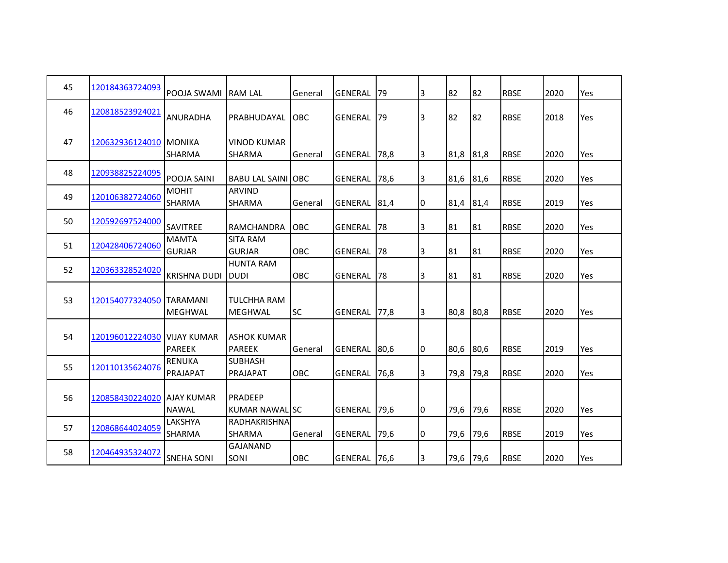| 45 | 120184363724093          | POOJA SWAMI                         | <b>IRAM LAL</b>                      | General     | <b>GENERAL</b> | 79        | 3  | 82   | 82   | <b>RBSE</b> | 2020 | Yes        |
|----|--------------------------|-------------------------------------|--------------------------------------|-------------|----------------|-----------|----|------|------|-------------|------|------------|
| 46 | 120818523924021          | <b>ANURADHA</b>                     | PRABHUDAYAL                          | <b>IOBC</b> | GENERAL        | 79        | 3  | 82   | 82   | <b>RBSE</b> | 2018 | <b>Yes</b> |
| 47 | 120632936124010 MONIKA   | <b>SHARMA</b>                       | <b>VINOD KUMAR</b><br><b>SHARMA</b>  | General     | IGENERAL       | 78,8      | 13 | 81,8 | 81,8 | <b>RBSE</b> | 2020 | Yes        |
| 48 | 120938825224095          | POOJA SAINI                         | <b>BABU LAL SAINI OBC</b>            |             | <b>GENERAL</b> | 78,6      | 3  | 81,6 | 81,6 | <b>RBSE</b> | 2020 | Yes        |
| 49 | 120106382724060          | <b>MOHIT</b><br>SHARMA              | <b>ARVIND</b><br><b>SHARMA</b>       | General     | <b>GENERAL</b> | 81,4      | 0  | 81,4 | 81,4 | <b>RBSE</b> | 2019 | Yes        |
| 50 | 120592697524000          | <b>SAVITREE</b>                     | RAMCHANDRA                           | <b>OBC</b>  | <b>GENERAL</b> | <b>78</b> | IЗ | 81   | 81   | <b>RBSE</b> | 2020 | <b>Yes</b> |
| 51 | 120428406724060          | <b>MAMTA</b><br><b>GURJAR</b>       | <b>SITA RAM</b><br><b>GURJAR</b>     | <b>OBC</b>  | <b>GENERAL</b> | 78        | 3  | 81   | 81   | <b>RBSE</b> | 2020 | Yes        |
| 52 | 120363328524020          | <b>KRISHNA DUDI</b>                 | <b>HUNTA RAM</b><br><b>DUDI</b>      | <b>OBC</b>  | <b>GENERAL</b> | 78        | 3  | 81   | 81   | <b>RBSE</b> | 2020 | Yes        |
| 53 | 120154077324050 TARAMANI | <b>MEGHWAL</b>                      | TULCHHA RAM<br><b>MEGHWAL</b>        | <b>SC</b>   | <b>GENERAL</b> | 77,8      | IЗ | 80,8 | 80,8 | <b>RBSE</b> | 2020 | Yes        |
| 54 | 120196012224030          | <b>VIJAY KUMAR</b><br><b>PAREEK</b> | <b>ASHOK KUMAR</b><br><b>PAREEK</b>  | General     | <b>GENERAL</b> | 80,6      | I٥ | 80,6 | 80,6 | <b>RBSE</b> | 2019 | Yes        |
| 55 | 120110135624076          | <b>RENUKA</b><br>PRAJAPAT           | <b>SUBHASH</b><br><b>PRAJAPAT</b>    | <b>OBC</b>  | <b>GENERAL</b> | 76,8      | IЗ | 79,8 | 79,8 | <b>RBSE</b> | 2020 | Yes        |
| 56 | 120858430224020          | <b>AJAY KUMAR</b><br><b>NAWAL</b>   | PRADEEP<br>KUMAR NAWALISC            |             | <b>GENERAL</b> | 179,6     | 0  | 79,6 | 79,6 | <b>RBSE</b> | 2020 | Yes        |
| 57 | 120868644024059          | LAKSHYA<br>SHARMA                   | <b>RADHAKRISHNA</b><br><b>SHARMA</b> | General     | GENERAL        | 179,6     | 10 | 79,6 | 79,6 | <b>RBSE</b> | 2019 | Yes        |
| 58 | 120464935324072          | <b>SNEHA SONI</b>                   | <b>GAJANAND</b><br>SONI              | OBC         | <b>GENERAL</b> | 76,6      | 3  | 79,6 | 79,6 | <b>RBSE</b> | 2020 | Yes        |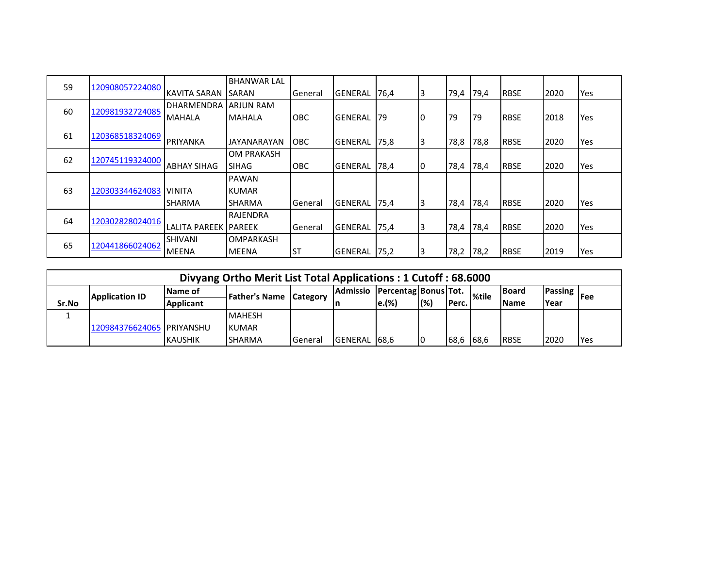| 59                    | 120908057224080 |                       | <b>BHANWAR LAL</b> |            |                |                 |    |      |      |             |      |     |
|-----------------------|-----------------|-----------------------|--------------------|------------|----------------|-----------------|----|------|------|-------------|------|-----|
|                       |                 | KAVITA SARAN SARAN    |                    | General    | <b>GENERAL</b> | 76,4            |    | 79,4 | 79,4 | <b>RBSE</b> | 2020 | Yes |
| 60                    |                 | <b>DHARMENDRA</b>     | <b>ARJUN RAM</b>   |            |                |                 |    |      |      |             |      |     |
|                       | 120981932724085 | MAHALA                | <b>MAHALA</b>      | <b>OBC</b> | <b>GENERAL</b> | I <sub>79</sub> | 10 | 79   | 79   | <b>RBSE</b> | 2018 | Yes |
| 61                    | 120368518324069 |                       |                    |            |                |                 |    |      |      |             |      |     |
|                       |                 | PRIYANKA              | JAYANARAYAN        | <b>OBC</b> | GENERAL        | 175,8           | 13 | 78,8 | 78,8 | <b>RBSE</b> | 2020 | Yes |
|                       |                 |                       | <b>OM PRAKASH</b>  |            |                |                 |    |      |      |             |      |     |
| 62<br>120745119324000 |                 | <b>ABHAY SIHAG</b>    | <b>SIHAG</b>       | <b>OBC</b> | <b>GENERAL</b> | 178,4           | 10 | 78,4 | 78,4 | <b>RBSE</b> | 2020 | Yes |
|                       |                 |                       | <b>PAWAN</b>       |            |                |                 |    |      |      |             |      |     |
| 63                    | 120303344624083 | <b>VINITA</b>         | <b>KUMAR</b>       |            |                |                 |    |      |      |             |      |     |
|                       |                 | <b>SHARMA</b>         | <b>SHARMA</b>      | General    | <b>GENERAL</b> | 75,4            | 3  | 78,4 | 78,4 | <b>RBSE</b> | 2020 | Yes |
|                       |                 |                       | RAJENDRA           |            |                |                 |    |      |      |             |      |     |
| 64                    | 120302828024016 | LALITA PAREEK IPAREEK |                    | General    | <b>GENERAL</b> | 75,4            | 3  | 78,4 | 78,4 | <b>RBSE</b> | 2020 | Yes |
|                       |                 | <b>SHIVANI</b>        | <b>OMPARKASH</b>   |            |                |                 |    |      |      |             |      |     |
| 65                    | 120441866024062 | <b>MEENA</b>          | <b>IMEENA</b>      | <b>ST</b>  | GENERAL        | 75,2            |    | 78,2 | 78,2 | <b>RBSE</b> | 2019 | Yes |

|       |                           |                  | Divyang Ortho Merit List Total Applications: 1 Cutoff: 68.6000 |           |                 |                          |     |           |              |               |                     |            |
|-------|---------------------------|------------------|----------------------------------------------------------------|-----------|-----------------|--------------------------|-----|-----------|--------------|---------------|---------------------|------------|
|       | Application ID            | <b>Name of</b>   | <b>IFather's Name Category</b>                                 |           | <b>Admissio</b> | Percentag   Bonus   Tot. |     |           | <b>%tile</b> | <b>IBoard</b> | <b>Passing</b>  Fee |            |
| Sr.No |                           | <b>Applicant</b> |                                                                |           |                 | $\mathsf{e}.(\% )$       | (%) | IPerc.    |              | <b>Name</b>   | <b>Year</b>         |            |
|       |                           |                  | <b>MAHESH</b>                                                  |           |                 |                          |     |           |              |               |                     |            |
|       | 120984376624065 PRIYANSHU |                  | <b>KUMAR</b>                                                   |           |                 |                          |     |           |              |               |                     |            |
|       |                           | <b>KAUSHIK</b>   | <b>SHARMA</b>                                                  | l General | <b>GENERAL</b>  | 168.6                    |     | 68,6 68,6 |              | <b>RBSE</b>   | 2020                | <b>Yes</b> |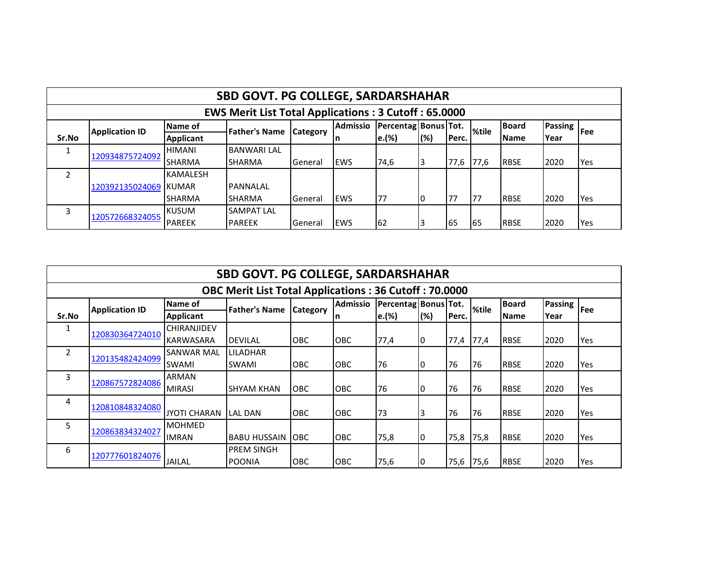|                                                             |                                                                                                                                                                                              |                  | <b>SBD GOVT. PG COLLEGE, SARDARSHAHAR</b> |                |             |       |     |       |       |             |      |     |
|-------------------------------------------------------------|----------------------------------------------------------------------------------------------------------------------------------------------------------------------------------------------|------------------|-------------------------------------------|----------------|-------------|-------|-----|-------|-------|-------------|------|-----|
| <b>EWS Merit List Total Applications: 3 Cutoff: 65.0000</b> |                                                                                                                                                                                              |                  |                                           |                |             |       |     |       |       |             |      |     |
|                                                             | <b>Admissio</b><br><b>Board</b><br>  Percentag   Bonus   Tot.<br>Passing <sup>1</sup><br>Name of<br>%tile<br><b>Father's Name</b><br><b>IFee</b><br><b>Application ID</b><br><b>Category</b> |                  |                                           |                |             |       |     |       |       |             |      |     |
| Sr.No                                                       |                                                                                                                                                                                              | <b>Applicant</b> |                                           |                | In          | e.(%) | (%) | Perc. |       | <b>Name</b> | Year |     |
|                                                             |                                                                                                                                                                                              | <b>HIMANI</b>    | <b>BANWARI LAL</b>                        |                |             |       |     |       |       |             |      |     |
|                                                             | 120934875724092                                                                                                                                                                              | <b>SHARMA</b>    | <b>SHARMA</b>                             | l General      | <b>IEWS</b> | 74,6  |     | 77,6  | 177,6 | <b>RBSE</b> | 2020 | Yes |
| $\mathcal{P}$                                               |                                                                                                                                                                                              | <b>KAMALESH</b>  |                                           |                |             |       |     |       |       |             |      |     |
|                                                             | 120392135024069                                                                                                                                                                              | KUMAR            | PANNALAL                                  |                |             |       |     |       |       |             |      |     |
|                                                             |                                                                                                                                                                                              | <b>SHARMA</b>    | <b>SHARMA</b>                             | General        | EWS         | 177   | Ю   | 77    | 177   | <b>RBSE</b> | 2020 | Yes |
| 3                                                           | 120572668324055                                                                                                                                                                              | <b>IKUSUM</b>    | <b>SAMPAT LAL</b>                         |                |             |       |     |       |       |             |      |     |
|                                                             |                                                                                                                                                                                              | <b>PAREEK</b>    | <b>PAREEK</b>                             | <b>General</b> | <b>IEWS</b> | 62    |     | 165   | 65    | <b>RBSE</b> | 2020 | Yes |

|                                                              | <b>SBD GOVT. PG COLLEGE, SARDARSHAHAR</b> |                     |                      |                 |                 |                      |     |       |       |              |                |     |  |  |
|--------------------------------------------------------------|-------------------------------------------|---------------------|----------------------|-----------------|-----------------|----------------------|-----|-------|-------|--------------|----------------|-----|--|--|
| <b>OBC Merit List Total Applications: 36 Cutoff: 70.0000</b> |                                           |                     |                      |                 |                 |                      |     |       |       |              |                |     |  |  |
|                                                              | <b>Application ID</b>                     | Name of             | <b>Father's Name</b> | <b>Category</b> | <b>Admissio</b> | Percentag Bonus Tot. |     |       | %tile | <b>Board</b> | <b>Passing</b> | Fee |  |  |
| Sr.No                                                        |                                           | <b>Applicant</b>    |                      |                 |                 | e.(%)                | (%) | Perc. |       | <b>Name</b>  | Year           |     |  |  |
| 1                                                            |                                           | <b>CHIRANJIDEV</b>  |                      |                 |                 |                      |     |       |       |              |                |     |  |  |
|                                                              | 120830364724010                           | <b>KARWASARA</b>    | <b>DEVILAL</b>       | <b>OBC</b>      | <b>OBC</b>      | 77,4                 | 10  | 77,4  | 77,4  | <b>RBSE</b>  | 2020           | Yes |  |  |
| $\overline{2}$                                               |                                           | <b>SANWAR MAL</b>   | LILADHAR             |                 |                 |                      |     |       |       |              |                |     |  |  |
|                                                              | 120135482424099                           | SWAMI               | <b>SWAMI</b>         | <b>OBC</b>      | <b>OBC</b>      | 76                   | 10  | 76    | 76    | <b>RBSE</b>  | 2020           | Yes |  |  |
| 3                                                            | 120867572824086                           | <b>ARMAN</b>        |                      |                 |                 |                      |     |       |       |              |                |     |  |  |
|                                                              |                                           | <b>MIRASI</b>       | ISHYAM KHAN          | <b>OBC</b>      | <b>OBC</b>      | 76                   | 10  | 76    | 76    | <b>RBSE</b>  | 2020           | Yes |  |  |
| 4                                                            | 120810848324080                           |                     |                      |                 |                 |                      |     |       |       |              |                |     |  |  |
|                                                              |                                           | <b>JYOTI CHARAN</b> | <b>LAL DAN</b>       | <b>OBC</b>      | <b>OBC</b>      | 73                   | 3   | 76    | 76    | <b>RBSE</b>  | 2020           | Yes |  |  |
| 5                                                            |                                           | <b>MOHMED</b>       |                      |                 |                 |                      |     |       |       |              |                |     |  |  |
|                                                              | 120863834324027                           | <b>IMRAN</b>        | <b>BABU HUSSAIN</b>  | <b>IOBC</b>     | OBC             | 75,8                 | 10  | 75,8  | 75,8  | <b>RBSE</b>  | 2020           | Yes |  |  |
| 6                                                            |                                           |                     | <b>PREM SINGH</b>    |                 |                 |                      |     |       |       |              |                |     |  |  |
|                                                              | 120777601824076                           | <b>JAILAL</b>       | <b>POONIA</b>        | <b>OBC</b>      | <b>OBC</b>      | 75,6                 |     | 75,6  | 75,6  | <b>RBSE</b>  | 2020           | Yes |  |  |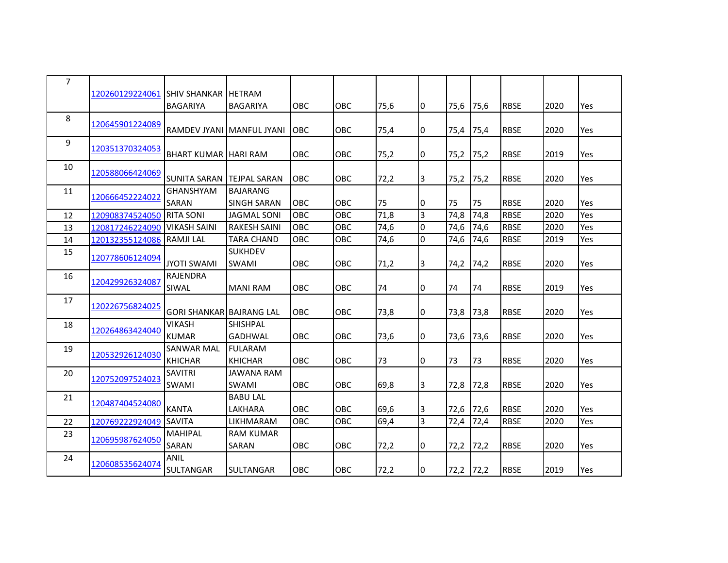|                 |                                                                                                                                                                                            |                                                                                                                               |                                                                                                                                                                                                    |                                                                    |                                               |                                            |                         |                                    |                                                 |                                                                                        | Yes                                  |
|-----------------|--------------------------------------------------------------------------------------------------------------------------------------------------------------------------------------------|-------------------------------------------------------------------------------------------------------------------------------|----------------------------------------------------------------------------------------------------------------------------------------------------------------------------------------------------|--------------------------------------------------------------------|-----------------------------------------------|--------------------------------------------|-------------------------|------------------------------------|-------------------------------------------------|----------------------------------------------------------------------------------------|--------------------------------------|
| 120645901224089 |                                                                                                                                                                                            |                                                                                                                               |                                                                                                                                                                                                    |                                                                    |                                               |                                            |                         |                                    |                                                 |                                                                                        |                                      |
|                 |                                                                                                                                                                                            |                                                                                                                               |                                                                                                                                                                                                    |                                                                    |                                               |                                            |                         |                                    |                                                 |                                                                                        | Yes                                  |
| 120351370324053 |                                                                                                                                                                                            |                                                                                                                               |                                                                                                                                                                                                    |                                                                    |                                               |                                            |                         |                                    |                                                 |                                                                                        |                                      |
|                 |                                                                                                                                                                                            |                                                                                                                               |                                                                                                                                                                                                    |                                                                    |                                               |                                            |                         |                                    |                                                 |                                                                                        | Yes                                  |
| 120588066424069 |                                                                                                                                                                                            |                                                                                                                               |                                                                                                                                                                                                    |                                                                    |                                               |                                            |                         |                                    |                                                 |                                                                                        |                                      |
|                 |                                                                                                                                                                                            |                                                                                                                               |                                                                                                                                                                                                    |                                                                    |                                               |                                            |                         |                                    |                                                 |                                                                                        | Yes                                  |
|                 |                                                                                                                                                                                            |                                                                                                                               |                                                                                                                                                                                                    |                                                                    |                                               |                                            |                         |                                    |                                                 |                                                                                        |                                      |
|                 |                                                                                                                                                                                            |                                                                                                                               |                                                                                                                                                                                                    |                                                                    |                                               | 10                                         |                         |                                    |                                                 |                                                                                        | Yes                                  |
| 120908374524050 | <b>RITA SONI</b>                                                                                                                                                                           | <b>JAGMAL SONI</b>                                                                                                            |                                                                                                                                                                                                    |                                                                    |                                               |                                            | 74,8                    | 74,8                               |                                                 | 2020                                                                                   | Yes                                  |
| 120817246224090 | <b>VIKASH SAINI</b>                                                                                                                                                                        | <b>RAKESH SAINI</b>                                                                                                           | OBC                                                                                                                                                                                                | OBC                                                                | 74,6                                          | $\overline{0}$                             | 74,6                    | 74,6                               | <b>RBSE</b>                                     | 2020                                                                                   | Yes                                  |
| 120132355124086 | <b>RAMJILAL</b>                                                                                                                                                                            | <b>TARA CHAND</b>                                                                                                             | <b>OBC</b>                                                                                                                                                                                         | OBC                                                                | 74,6                                          | $\Omega$                                   | 74,6                    | 74,6                               | <b>RBSE</b>                                     | 2019                                                                                   | Yes                                  |
|                 |                                                                                                                                                                                            | <b>SUKHDEV</b>                                                                                                                |                                                                                                                                                                                                    |                                                                    |                                               |                                            |                         |                                    |                                                 |                                                                                        |                                      |
|                 | <b>JYOTI SWAMI</b>                                                                                                                                                                         | <b>SWAMI</b>                                                                                                                  | <b>OBC</b>                                                                                                                                                                                         | OBC                                                                | 71,2                                          | 3                                          | 74,2                    | 74,2                               | <b>RBSE</b>                                     | 2020                                                                                   | Yes                                  |
|                 | <b>RAJENDRA</b>                                                                                                                                                                            |                                                                                                                               |                                                                                                                                                                                                    |                                                                    |                                               |                                            |                         |                                    |                                                 |                                                                                        |                                      |
|                 | SIWAL                                                                                                                                                                                      | <b>MANI RAM</b>                                                                                                               | OBC                                                                                                                                                                                                | <b>OBC</b>                                                         | 74                                            | 0                                          | 74                      | 74                                 | <b>RBSE</b>                                     | 2019                                                                                   | Yes                                  |
|                 |                                                                                                                                                                                            |                                                                                                                               |                                                                                                                                                                                                    |                                                                    |                                               |                                            |                         |                                    |                                                 |                                                                                        |                                      |
|                 |                                                                                                                                                                                            |                                                                                                                               | <b>OBC</b>                                                                                                                                                                                         | <b>OBC</b>                                                         | 73,8                                          | 0                                          | 73,8                    | 73,8                               | <b>RBSE</b>                                     | 2020                                                                                   | Yes                                  |
|                 | <b>VIKASH</b>                                                                                                                                                                              | <b>SHISHPAL</b>                                                                                                               |                                                                                                                                                                                                    |                                                                    |                                               |                                            |                         |                                    |                                                 |                                                                                        |                                      |
|                 | <b>KUMAR</b>                                                                                                                                                                               | <b>GADHWAL</b>                                                                                                                | OBC                                                                                                                                                                                                | OBC                                                                | 73,6                                          | 0                                          | 73,6                    | 73,6                               | <b>RBSE</b>                                     | 2020                                                                                   | Yes                                  |
|                 | SANWAR MAL                                                                                                                                                                                 | <b>FULARAM</b>                                                                                                                |                                                                                                                                                                                                    |                                                                    |                                               |                                            |                         |                                    |                                                 |                                                                                        |                                      |
|                 | <b>KHICHAR</b>                                                                                                                                                                             | <b>KHICHAR</b>                                                                                                                | <b>OBC</b>                                                                                                                                                                                         | <b>OBC</b>                                                         | 73                                            | 0                                          | 73                      | 73                                 | <b>RBSE</b>                                     | 2020                                                                                   | Yes                                  |
|                 | <b>SAVITRI</b>                                                                                                                                                                             | <b>JAWANA RAM</b>                                                                                                             |                                                                                                                                                                                                    |                                                                    |                                               |                                            |                         |                                    |                                                 |                                                                                        |                                      |
|                 | SWAMI                                                                                                                                                                                      | <b>SWAMI</b>                                                                                                                  | OBC                                                                                                                                                                                                | <b>OBC</b>                                                         | 69.8                                          | IЗ                                         | 72,8                    | 72,8                               | <b>RBSE</b>                                     | 2020                                                                                   | Yes                                  |
|                 |                                                                                                                                                                                            | <b>BABU LAL</b>                                                                                                               |                                                                                                                                                                                                    |                                                                    |                                               |                                            |                         |                                    |                                                 |                                                                                        |                                      |
|                 | <b>KANTA</b>                                                                                                                                                                               | LAKHARA                                                                                                                       | <b>OBC</b>                                                                                                                                                                                         | OBC                                                                | 69,6                                          | IЗ                                         | 72,6                    | 72,6                               | <b>RBSE</b>                                     | 2020                                                                                   | <b>Yes</b>                           |
|                 |                                                                                                                                                                                            | <b>LIKHMARAM</b>                                                                                                              | OBC                                                                                                                                                                                                | OBC                                                                | 69,4                                          | $\overline{3}$                             | 72,4                    | 72,4                               | <b>RBSE</b>                                     | 2020                                                                                   | Yes                                  |
|                 | <b>MAHIPAL</b>                                                                                                                                                                             | <b>RAM KUMAR</b>                                                                                                              |                                                                                                                                                                                                    |                                                                    |                                               |                                            |                         |                                    |                                                 |                                                                                        |                                      |
|                 | SARAN                                                                                                                                                                                      | SARAN                                                                                                                         | <b>OBC</b>                                                                                                                                                                                         | OBC                                                                | 72,2                                          | Ю                                          | 72,2                    | 72,2                               | <b>RBSE</b>                                     | 2020                                                                                   | Yes                                  |
|                 | ANIL                                                                                                                                                                                       |                                                                                                                               |                                                                                                                                                                                                    |                                                                    |                                               |                                            |                         |                                    |                                                 |                                                                                        |                                      |
|                 | SULTANGAR                                                                                                                                                                                  | <b>SULTANGAR</b>                                                                                                              | <b>OBC</b>                                                                                                                                                                                         | OBC                                                                | 72,2                                          | 10                                         |                         |                                    | <b>RBSE</b>                                     | 2019                                                                                   | Yes                                  |
|                 | 120666452224022<br>120778606124094<br>120429926324087<br>120226756824025<br>120264863424040<br>120532926124030<br>120752097524023<br>120487404524080<br>120695987624050<br>120608535624074 | 120260129224061 SHIV SHANKAR<br><b>BAGARIYA</b><br><b>SUNITA SARAN</b><br><b>GHANSHYAM</b><br>SARAN<br>120769222924049 SAVITA | <b>IHETRAM</b><br><b>BAGARIYA</b><br>RAMDEV JYANI İMANFUL JYANI<br><b>BHART KUMAR HARI RAM</b><br><b>ITEJPAL SARAN</b><br><b>BAJARANG</b><br><b>SINGH SARAN</b><br><b>GORI SHANKAR BAJRANG LAL</b> | OBC<br><b>OBC</b><br><b>OBC</b><br><b>OBC</b><br><b>OBC</b><br>OBC | OBC<br><b>OBC</b><br>OBC<br>OBC<br>OBC<br>OBC | 75,6<br>75,4<br>75,2<br>72,2<br>75<br>71,8 | 10<br>0<br>I٥<br>3<br>3 | 75,6<br>75,4<br>75,2<br>75,2<br>75 | 75,6<br>75,4<br>75,2<br>75,2<br>75<br>72,2 72,2 | <b>RBSE</b><br><b>RBSE</b><br><b>RBSE</b><br><b>RBSE</b><br><b>RBSE</b><br><b>RBSE</b> | 2020<br>2020<br>2019<br>2020<br>2020 |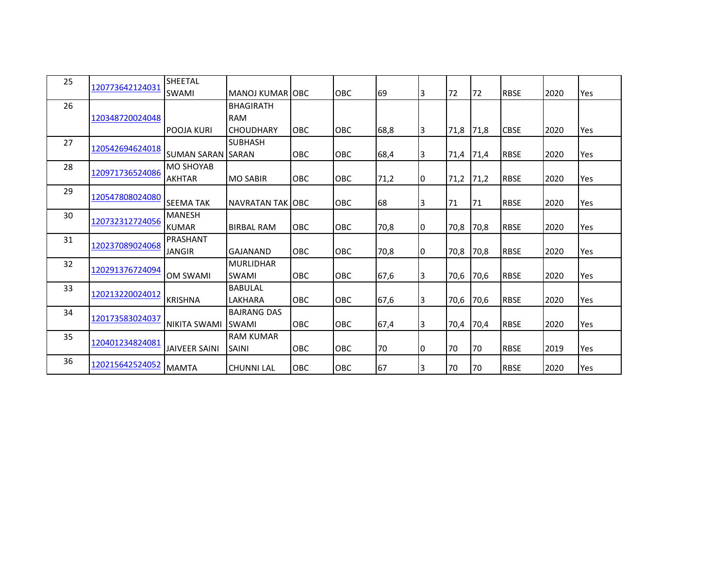| 25 |                 | SHEETAL                   |                          |            |            |      |     |      |      |             |      |     |
|----|-----------------|---------------------------|--------------------------|------------|------------|------|-----|------|------|-------------|------|-----|
|    | 120773642124031 | <b>SWAMI</b>              | <b>MANOJ KUMAR OBC</b>   |            | OBC        | 69   | 3   | 72   | 72   | <b>RBSE</b> | 2020 | Yes |
| 26 |                 |                           | <b>BHAGIRATH</b>         |            |            |      |     |      |      |             |      |     |
|    | 120348720024048 |                           | <b>RAM</b>               |            |            |      |     |      |      |             |      |     |
|    |                 | <b>POOJA KURI</b>         | <b>CHOUDHARY</b>         | <b>OBC</b> | <b>OBC</b> | 68,8 | 3   | 71,8 | 71,8 | <b>CBSE</b> | 2020 | Yes |
| 27 | 120542694624018 |                           | <b>SUBHASH</b>           |            |            |      |     |      |      |             |      |     |
|    |                 | <b>SUMAN SARAN ISARAN</b> |                          | <b>OBC</b> | <b>OBC</b> | 68,4 | 3   | 71,4 | 71,4 | <b>RBSE</b> | 2020 | Yes |
| 28 | 120971736524086 | <b>MO SHOYAB</b>          |                          |            |            |      |     |      |      |             |      |     |
|    |                 | <b>AKHTAR</b>             | <b>MO SABIR</b>          | <b>OBC</b> | <b>OBC</b> | 71,2 | IO. | 71,2 | 71,2 | <b>RBSE</b> | 2020 | Yes |
| 29 | 120547808024080 |                           |                          |            |            |      |     |      |      |             |      |     |
|    |                 | <b>SEEMA TAK</b>          | <b>NAVRATAN TAK JOBC</b> |            | <b>OBC</b> | 68   | 3   | 71   | 71   | <b>RBSE</b> | 2020 | Yes |
| 30 | 120732312724056 | <b>MANESH</b>             |                          |            |            |      |     |      |      |             |      |     |
|    |                 | <b>KUMAR</b>              | <b>BIRBAL RAM</b>        | <b>OBC</b> | <b>OBC</b> | 70,8 | I0  | 70,8 | 70,8 | <b>RBSE</b> | 2020 | Yes |
| 31 | 120237089024068 | PRASHANT                  |                          |            |            |      |     |      |      |             |      |     |
|    |                 | <b>JANGIR</b>             | GAJANAND                 | <b>OBC</b> | <b>OBC</b> | 70,8 | 10  | 70,8 | 70,8 | <b>RBSE</b> | 2020 | Yes |
| 32 | 120291376724094 |                           | <b>MURLIDHAR</b>         |            |            |      |     |      |      |             |      |     |
|    |                 | <b>OM SWAMI</b>           | <b>SWAMI</b>             | <b>OBC</b> | <b>OBC</b> | 67,6 | 3   | 70,6 | 70,6 | <b>RBSE</b> | 2020 | Yes |
| 33 | 120213220024012 |                           | <b>BABULAL</b>           |            |            |      |     |      |      |             |      |     |
|    |                 | <b>KRISHNA</b>            | LAKHARA                  | <b>OBC</b> | OBC        | 67,6 | 3   | 70,6 | 70,6 | <b>RBSE</b> | 2020 | Yes |
| 34 | 120173583024037 |                           | <b>BAJRANG DAS</b>       |            |            |      |     |      |      |             |      |     |
|    |                 | NIKITA SWAMI              | <b>SWAMI</b>             | OBC        | OBC        | 67,4 | 3   | 70,4 | 70,4 | <b>RBSE</b> | 2020 | Yes |
| 35 | 120401234824081 |                           | <b>RAM KUMAR</b>         |            |            |      |     |      |      |             |      |     |
|    |                 | <b>JAIVEER SAINI</b>      | <b>SAINI</b>             | <b>OBC</b> | <b>OBC</b> | 70   | 10  | 70   | 70   | <b>RBSE</b> | 2019 | Yes |
| 36 | 120215642524052 | <b>MAMTA</b>              | <b>CHUNNI LAL</b>        | <b>OBC</b> | OBC        | 67   | 3   | 70   | 70   | <b>RBSE</b> | 2020 | Yes |
|    |                 |                           |                          |            |            |      |     |      |      |             |      |     |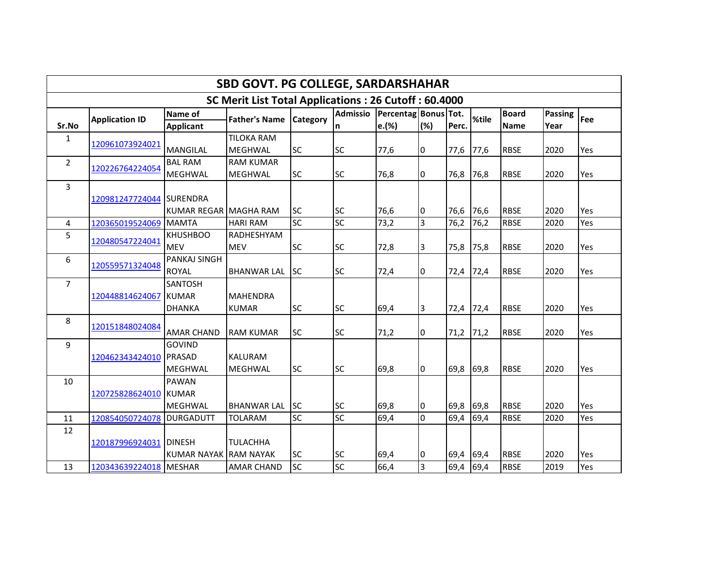| SBD GOVT. PG COLLEGE, SARDARSHAHAR                   |                           |                       |                      |                 |                 |                      |                |       |       |              |         |     |  |
|------------------------------------------------------|---------------------------|-----------------------|----------------------|-----------------|-----------------|----------------------|----------------|-------|-------|--------------|---------|-----|--|
| SC Merit List Total Applications: 26 Cutoff: 60.4000 |                           |                       |                      |                 |                 |                      |                |       |       |              |         |     |  |
|                                                      | <b>Application ID</b>     | Name of               | <b>Father's Name</b> | <b>Category</b> | <b>Admissio</b> | Percentag Bonus Tot. |                |       | %tile | <b>Board</b> | Passing | Fee |  |
| Sr.No                                                |                           | <b>Applicant</b>      |                      |                 | n               | e.(%)                | (%)            | Perc. |       | <b>Name</b>  | Year    |     |  |
| $\mathbf{1}$                                         | 120961073924021           |                       | <b>TILOKA RAM</b>    |                 |                 |                      |                |       |       |              |         |     |  |
|                                                      |                           | <b>MANGILAL</b>       | <b>MEGHWAL</b>       | <b>SC</b>       | <b>SC</b>       | 77,6                 | I0             | 77,6  | 77,6  | <b>RBSE</b>  | 2020    | Yes |  |
| $\overline{2}$                                       | 120226764224054           | <b>BAL RAM</b>        | <b>RAM KUMAR</b>     |                 |                 |                      |                |       |       |              |         |     |  |
|                                                      |                           | MEGHWAL               | <b>MEGHWAL</b>       | <b>SC</b>       | <b>SC</b>       | 76,8                 | 10             | 76,8  | 76,8  | <b>RBSE</b>  | 2020    | Yes |  |
| $\mathbf{3}$                                         |                           |                       |                      |                 |                 |                      |                |       |       |              |         |     |  |
|                                                      | 120981247724044 SURENDRA  |                       |                      |                 |                 |                      |                |       |       |              |         |     |  |
|                                                      |                           | KUMAR REGAR MAGHA RAM |                      | <b>SC</b>       | <b>SC</b>       | 76,6                 | 10             | 76,6  | 76,6  | <b>RBSE</b>  | 2020    | Yes |  |
| 4                                                    | 120365019524069           | <b>MAMTA</b>          | <b>HARI RAM</b>      | <b>SC</b>       | <b>SC</b>       | 73,2                 | $\overline{3}$ | 76,2  | 76,2  | <b>RBSE</b>  | 2020    | Yes |  |
| 5                                                    | 120480547224041           | <b>KHUSHBOO</b>       | RADHESHYAM           |                 |                 |                      |                |       |       |              |         |     |  |
|                                                      |                           | <b>MEV</b>            | <b>MEV</b>           | <b>SC</b>       | <b>SC</b>       | 72,8                 | 3              | 75,8  | 75,8  | <b>RBSE</b>  | 2020    | Yes |  |
| 6                                                    | 120559571324048           | <b>PANKAJ SINGH</b>   |                      |                 |                 |                      |                |       |       |              |         |     |  |
|                                                      |                           | <b>ROYAL</b>          | <b>BHANWAR LAL</b>   | <b>ISC</b>      | <b>SC</b>       | 72,4                 | 0              | 72,4  | 72,4  | <b>RBSE</b>  | 2020    | Yes |  |
| $\overline{7}$                                       |                           | SANTOSH               |                      |                 |                 |                      |                |       |       |              |         |     |  |
|                                                      | 120448814624067           | <b>KUMAR</b>          | <b>MAHENDRA</b>      |                 |                 |                      |                |       |       |              |         |     |  |
|                                                      |                           | <b>DHANKA</b>         | <b>KUMAR</b>         | <b>SC</b>       | <b>SC</b>       | 69,4                 | 3              | 72,4  | 72,4  | <b>RBSE</b>  | 2020    | Yes |  |
| 8                                                    |                           |                       |                      |                 |                 |                      |                |       |       |              |         |     |  |
|                                                      | 120151848024084           | <b>AMAR CHAND</b>     | <b>RAM KUMAR</b>     | <b>SC</b>       | <b>SC</b>       | 71,2                 | Iо             | 71,2  | 71,2  | <b>RBSE</b>  | 2020    | Yes |  |
| 9                                                    |                           | <b>GOVIND</b>         |                      |                 |                 |                      |                |       |       |              |         |     |  |
|                                                      | 120462343424010           | <b>PRASAD</b>         | <b>KALURAM</b>       |                 |                 |                      |                |       |       |              |         |     |  |
|                                                      |                           | MEGHWAL               | <b>MEGHWAL</b>       | <b>SC</b>       | <b>SC</b>       | 69,8                 | Iо             | 69,8  | 69,8  | <b>RBSE</b>  | 2020    | Yes |  |
| 10                                                   |                           | <b>PAWAN</b>          |                      |                 |                 |                      |                |       |       |              |         |     |  |
|                                                      | 120725828624010           | <b>KUMAR</b>          |                      |                 |                 |                      |                |       |       |              |         |     |  |
|                                                      |                           | <b>MEGHWAL</b>        | <b>BHANWAR LAL</b>   | <b>ISC</b>      | <b>SC</b>       | 69,8                 | I0             | 69,8  | 69,8  | <b>RBSE</b>  | 2020    | Yes |  |
| 11                                                   | 120854050724078 DURGADUTT |                       | <b>TOLARAM</b>       | <b>SC</b>       | <b>SC</b>       | 69,4                 | I٥             | 69,4  | 69,4  | <b>RBSE</b>  | 2020    | Yes |  |
| 12                                                   |                           |                       |                      |                 |                 |                      |                |       |       |              |         |     |  |
|                                                      | 120187996924031           | <b>DINESH</b>         | <b>TULACHHA</b>      |                 |                 |                      |                |       |       |              |         |     |  |
|                                                      |                           | KUMAR NAYAK RAM NAYAK |                      | <b>SC</b>       | <b>SC</b>       | 69,4                 | 0              | 69,4  | 69,4  | <b>RBSE</b>  | 2020    | Yes |  |
| 13                                                   | 120343639224018 MESHAR    |                       | <b>AMAR CHAND</b>    | <b>SC</b>       | <b>SC</b>       | 66,4                 | 3              | 69,4  | 69,4  | <b>RBSE</b>  | 2019    | Yes |  |